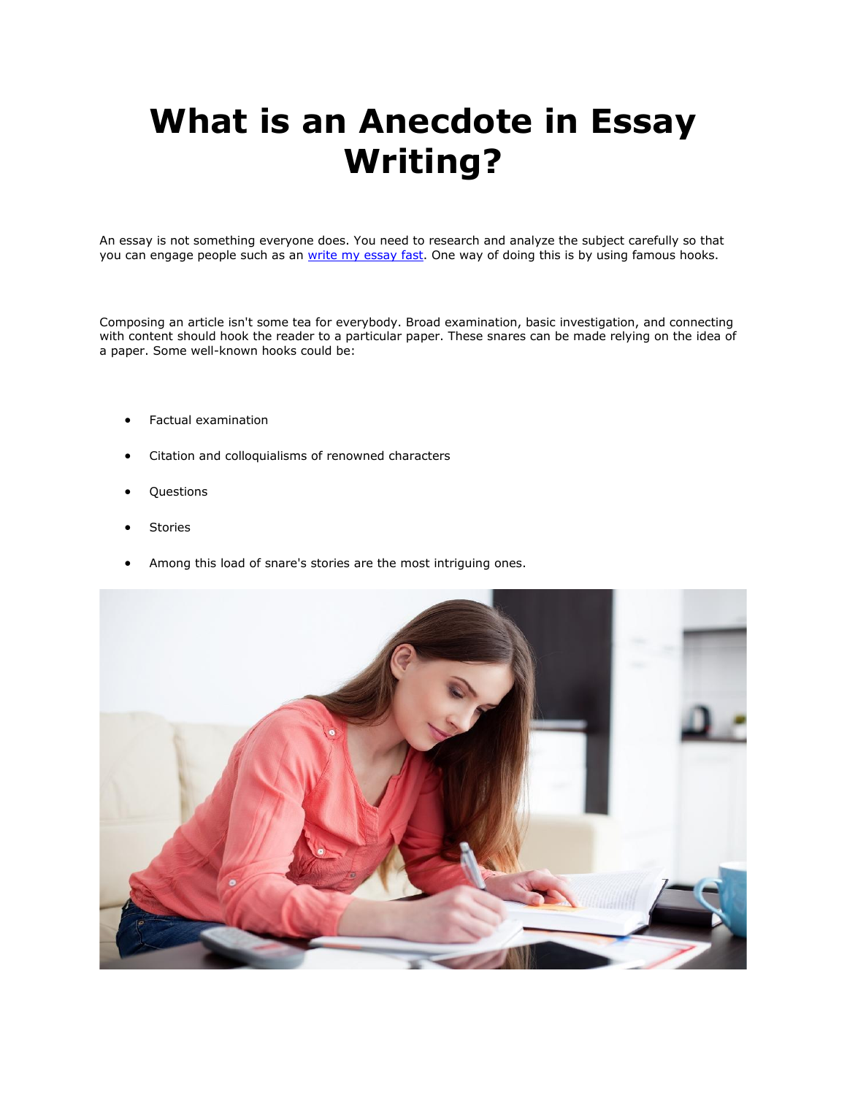# **What is an Anecdote in Essay Writing?**

An essay is not something everyone does. You need to research and analyze the subject carefully so that you can engage people such as an [write my essay fast.](https://writemyessayfast.net/) One way of doing this is by using famous hooks.

Composing an article isn't some tea for everybody. Broad examination, basic investigation, and connecting with content should hook the reader to a particular paper. These snares can be made relying on the idea of a paper. Some well-known hooks could be:

- Factual examination
- Citation and colloquialisms of renowned characters
- Questions
- **Stories**
- Among this load of snare's stories are the most intriguing ones.

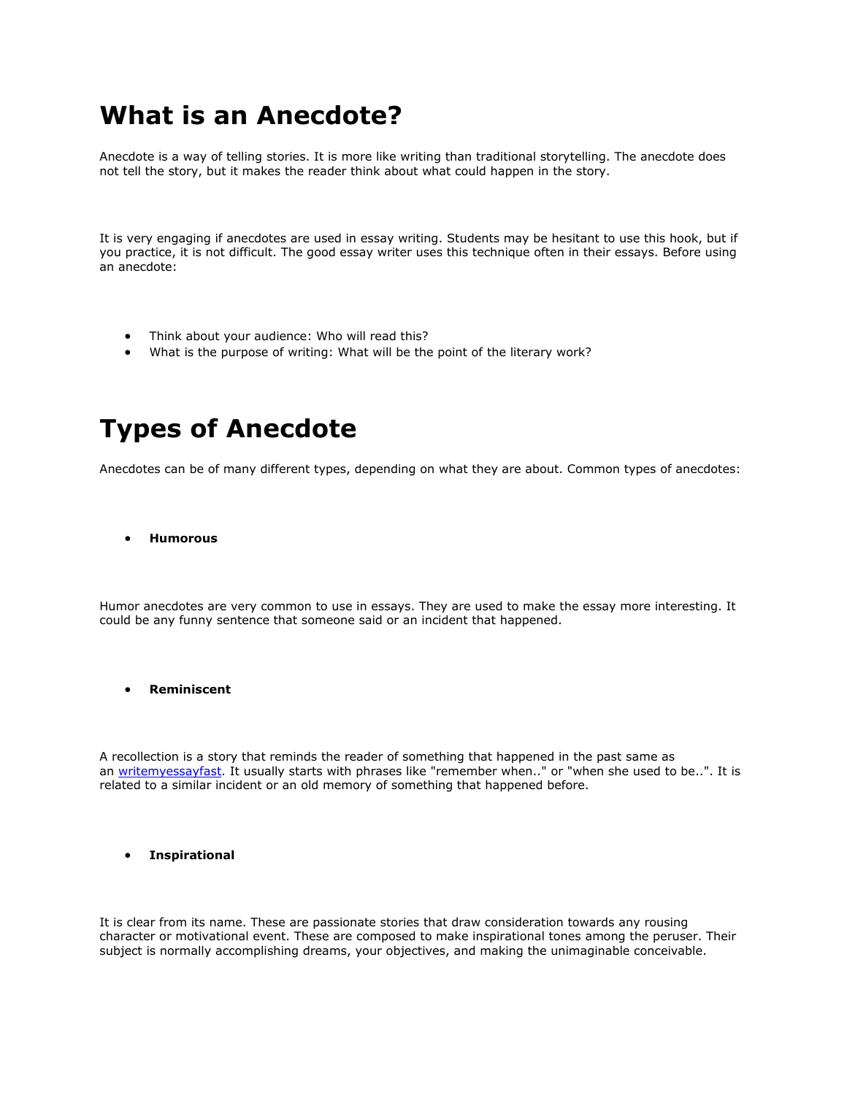## **What is an Anecdote?**

Anecdote is a way of telling stories. It is more like writing than traditional storytelling. The anecdote does not tell the story, but it makes the reader think about what could happen in the story.

It is very engaging if anecdotes are used in essay writing. Students may be hesitant to use this hook, but if you practice, it is not difficult. The good essay writer uses this technique often in their essays. Before using an anecdote:

- Think about your audience: Who will read this?
- What is the purpose of writing: What will be the point of the literary work?

## **Types of Anecdote**

Anecdotes can be of many different types, depending on what they are about. Common types of anecdotes:

• **Humorous**

Humor anecdotes are very common to use in essays. They are used to make the essay more interesting. It could be any funny sentence that someone said or an incident that happened.

• **Reminiscent**

A recollection is a story that reminds the reader of something that happened in the past same as an [writemyessayfast.](https://writemyessayfast.net/) It usually starts with phrases like "remember when.." or "when she used to be..". It is related to a similar incident or an old memory of something that happened before.

#### • **Inspirational**

It is clear from its name. These are passionate stories that draw consideration towards any rousing character or motivational event. These are composed to make inspirational tones among the peruser. Their subject is normally accomplishing dreams, your objectives, and making the unimaginable conceivable.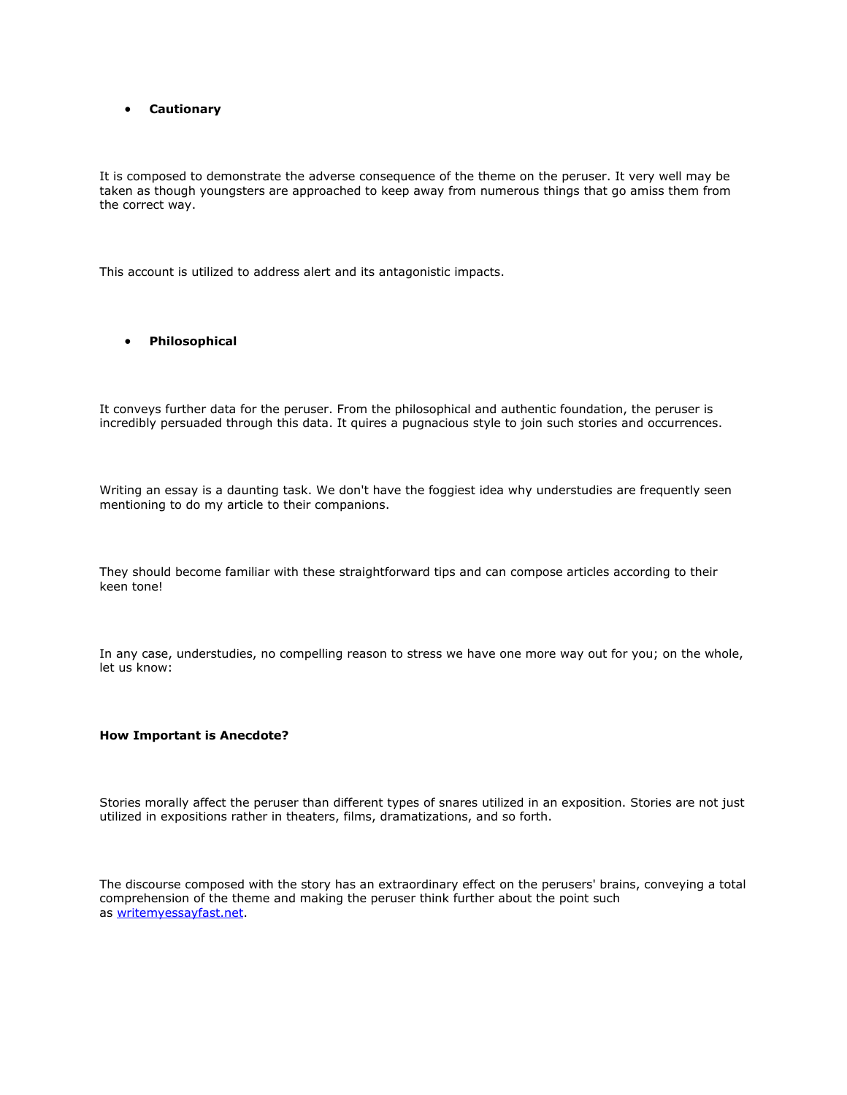#### • **Cautionary**

It is composed to demonstrate the adverse consequence of the theme on the peruser. It very well may be taken as though youngsters are approached to keep away from numerous things that go amiss them from the correct way.

This account is utilized to address alert and its antagonistic impacts.

### • **Philosophical**

It conveys further data for the peruser. From the philosophical and authentic foundation, the peruser is incredibly persuaded through this data. It quires a pugnacious style to join such stories and occurrences.

Writing an essay is a daunting task. We don't have the foggiest idea why understudies are frequently seen mentioning to do my article to their companions.

They should become familiar with these straightforward tips and can compose articles according to their keen tone!

In any case, understudies, no compelling reason to stress we have one more way out for you; on the whole, let us know:

#### **How Important is Anecdote?**

Stories morally affect the peruser than different types of snares utilized in an exposition. Stories are not just utilized in expositions rather in theaters, films, dramatizations, and so forth.

The discourse composed with the story has an extraordinary effect on the perusers' brains, conveying a total comprehension of the theme and making the peruser think further about the point such as [writemyessayfast.net.](https://writemyessayfast.net/)